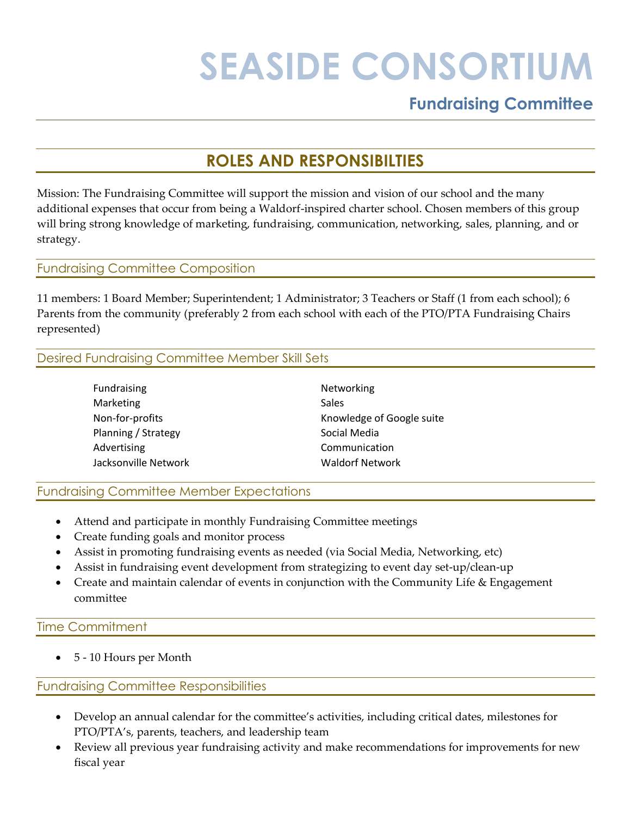# **SEASIDE CONSORTIUM**

# **Fundraising Committee**

# **ROLES AND RESPONSIBILTIES**

Mission: The Fundraising Committee will support the mission and vision of our school and the many additional expenses that occur from being a Waldorf-inspired charter school. Chosen members of this group will bring strong knowledge of marketing, fundraising, communication, networking, sales, planning, and or strategy.

#### Fundraising Committee Composition

11 members: 1 Board Member; Superintendent; 1 Administrator; 3 Teachers or Staff (1 from each school); 6 Parents from the community (preferably 2 from each school with each of the PTO/PTA Fundraising Chairs represented)

# Desired Fundraising Committee Member Skill Sets

| Fundraising          | Networking                |
|----------------------|---------------------------|
| Marketing            | Sales                     |
| Non-for-profits      | Knowledge of Google suite |
| Planning / Strategy  | Social Media              |
| Advertising          | Communication             |
| Jacksonville Network | <b>Waldorf Network</b>    |

Fundraising Committee Member Expectations

- Attend and participate in monthly Fundraising Committee meetings
- Create funding goals and monitor process
- Assist in promoting fundraising events as needed (via Social Media, Networking, etc)
- Assist in fundraising event development from strategizing to event day set-up/clean-up
- Create and maintain calendar of events in conjunction with the Community Life & Engagement committee

## Time Commitment

• 5 - 10 Hours per Month

## Fundraising Committee Responsibilities

- Develop an annual calendar for the committee's activities, including critical dates, milestones for PTO/PTA's, parents, teachers, and leadership team
- Review all previous year fundraising activity and make recommendations for improvements for new fiscal year